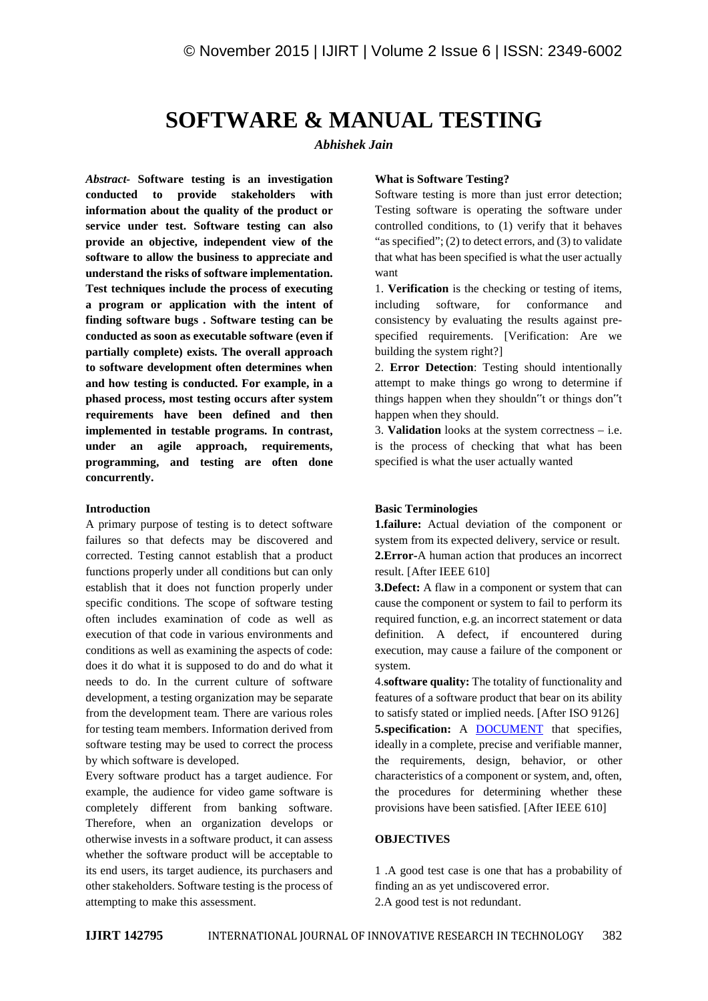# **SOFTWARE & MANUAL TESTING**

## *Abhishek Jain*

*Abstract-* **Software testing is an investigation conducted to provide stakeholders with information about the quality of the product or service under test. Software testing can also provide an objective, independent view of the software to allow the business to appreciate and understand the risks of software implementation. Test techniques include the process of executing a program or application with the intent of finding software bugs . Software testing can be conducted as soon as executable software (even if partially complete) exists. The overall approach to software development often determines when and how testing is conducted. For example, in a phased process, most testing occurs after system requirements have been defined and then implemented in testable programs. In contrast, under an agile approach, requirements, programming, and testing are often done concurrently.**

#### **Introduction**

A primary purpose of testing is to detect software failures so that defects may be discovered and corrected. Testing cannot establish that a product functions properly under all conditions but can only establish that it does not function properly under specific conditions. The scope of software testing often includes examination of code as well as execution of that code in various environments and conditions as well as examining the aspects of code: does it do what it is supposed to do and do what it needs to do. In the current culture of software development, a testing organization may be separate from the development team. There are various roles for testing team members. Information derived from software testing may be used to correct the process by which software is developed.

Every software product has a target audience. For example, the audience for video game software is completely different from banking software. Therefore, when an organization develops or otherwise invests in a software product, it can assess whether the software product will be acceptable to its end users, its target audience, its purchasers and other stakeholders. Software testing is the process of attempting to make this assessment.

#### **What is Software Testing?**

Software testing is more than just error detection; Testing software is operating the software under controlled conditions, to (1) verify that it behaves "as specified";  $(2)$  to detect errors, and  $(3)$  to validate that what has been specified is what the user actually want

1. **Verification** is the checking or testing of items, including software, for conformance and consistency by evaluating the results against pre specified requirements. [Verification: Are we building the system right?]

2. **Error Detection**: Testing should intentionally attempt to make things go wrong to determine if things happen when they shouldn"t or things don"t happen when they should.

3. **Validation** looks at the system correctness – i.e. is the process of checking that what has been specified is what the user actually wanted

#### **Basic Terminologies**

**1.failure:** Actual deviation of the component or system from its expected delivery, service or result. **2.Error-**A human action that produces an incorrect result. [After IEEE 610]

**3.Defect:** A flaw in a component or system that can cause the component or system to fail to perform its required function, e.g. an incorrect statement or data definition. A defect, if encountered during execution, may cause a failure of the component or system.

4.**software quality:** The totality of functionality and features of a software product that bear on its ability to satisfy stated or implied needs. [After ISO 9126] **5.specification:** A **DOCUMENT** that specifies, ideally in a complete, precise and verifiable manner, the requirements, design, behavior, or other characteristics of a component or system, and, often, the procedures for determining whether these provisions have been satisfied. [After IEEE 610]

## **OBJECTIVES**

1 .A good test case is one that has a probability of finding an as yet undiscovered error. 2.A good test is not redundant.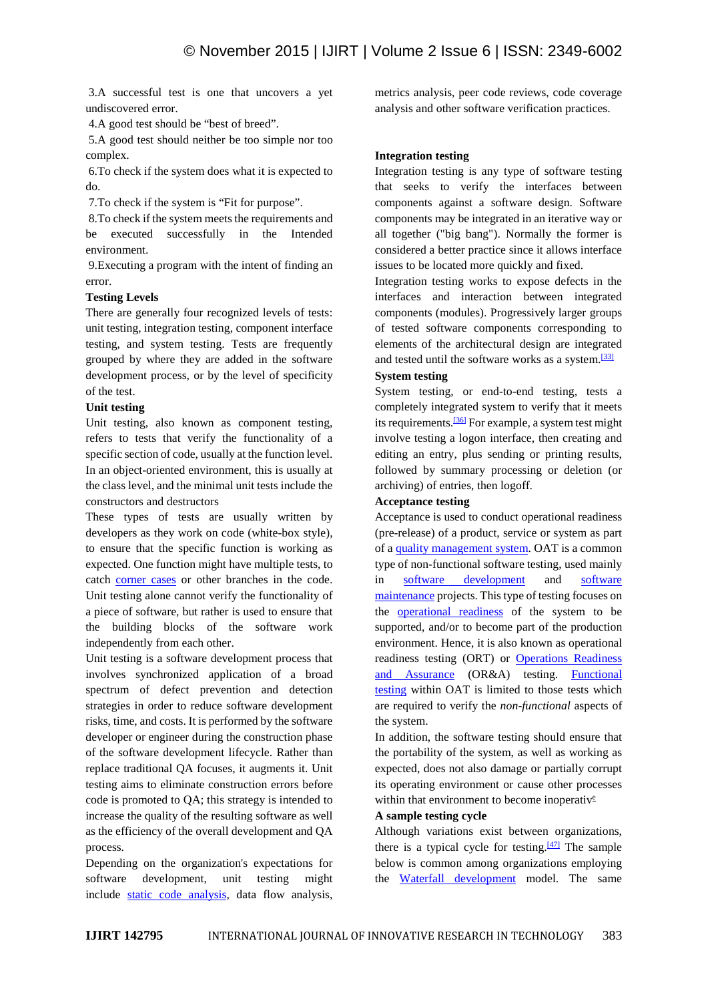3.A successful test is one that uncovers a yet undiscovered error.

4.A good test should be "best of breed".

5.A good test should neither be too simple nor too complex.

6.To check if the system does what it is expected to do.

7.To check if the system is "Fit for purpose".

8. To check if the system meets the requirements and be executed successfully in the Intended environment.

9.Executing a program with the intent of finding an error.

### **Testing Levels**

There are generally four recognized levels of tests: unit testing, integration testing, component interface testing, and system testing. Tests are frequently grouped by where they are added in the software development process, or by the level of specificity of the test.

#### **Unit testing**

Unit testing, also known as component testing, refers to tests that verify the functionality of a specific section of code, usually at the function level. In an object-oriented environment, this is usually at the class level, and the minimal unit tests include the constructors and destructors

These types of tests are usually written by developers as they work on code (white-box style), to ensure that the specific function is working as expected. One function might have multiple tests, to catch corner cases or other branches in the code. Unit testing alone cannot verify the functionality of a piece of software, but rather is used to ensure that the building blocks of the software work independently from each other.

Unit testing is a software development process that involves synchronized application of a broad spectrum of defect prevention and detection strategies in order to reduce software development risks, time, and costs. It is performed by the software developer or engineer during the construction phase of the software development lifecycle. Rather than replace traditional QA focuses, it augments it. Unit testing aims to eliminate construction errors before code is promoted to QA; this strategy is intended to increase the quality of the resulting software as well as the efficiency of the overall development and QA process.

Depending on the organization's expectations for software development, unit testing might include static code analysis, data flow analysis,

metrics analysis, peer code reviews, code coverage analysis and other software verification practices.

#### **Integration testing**

Integration testing is any type of software testing that seeks to verify the interfaces between components against a software design. Software components may be integrated in an iterative way or all together ("big bang"). Normally the former is considered a better practice since it allows interface issues to be located more quickly and fixed.

Integration testing works to expose defects in the interfaces and interaction between integrated components (modules). Progressively larger groups of tested software components corresponding to elements of the architectural design are integrated and tested until the software works as a system.<sup>[33]</sup>

## **System testing**

System testing, or end-to-end testing, tests a completely integrated system to verify that it meets its requirements.[36] For example, a system test might involve testing a logon interface, then creating and editing an entry, plus sending or printing results, followed by summary processing or deletion (or archiving) of entries, then logoff.

## **Acceptance testing**

Acceptance is used to conduct operational readiness (pre-release) of a product, service or system as part of a quality management system. OAT is a common type of non-functional software testing, used mainly in software development and software maintenance projects. This type of testing focuses on the operational readiness of the system to be supported, and/or to become part of the production environment. Hence, it is also known as operational readiness testing (ORT) or Operations Readiness and Assurance (OR&A) testing. Functional testing within OAT is limited to those tests which are required to verify the *non-functional* aspects of the system.

In addition, the software testing should ensure that the portability of the system, as well as working as expected, does not also damage or partially corrupt its operating environment or cause other processes within that environment to become inoperativ<sup>e</sup>

#### **A sample testing cycle**

Although variations exist between organizations, there is a typical cycle for testing.<sup>[47]</sup> The sample below is common among organizations employing the Waterfall development model. The same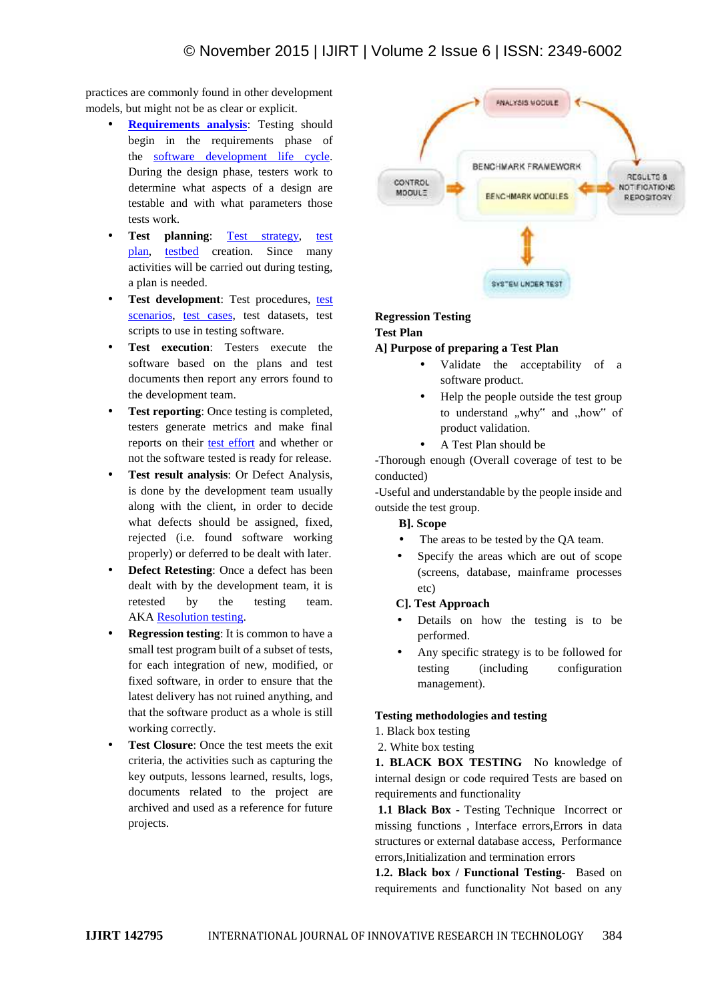practices are commonly found in other development models, but might not be as clear or explicit.

- **Requirements analysis**: Testing should begin in the requirements phase of the software development life cycle. During the design phase, testers work to determine what aspects of a design are testable and with what parameters those tests work.
- **Test planning**: Test strategy, test plan, testbed creation. Since many activities will be carried out during testing, a plan is needed.
- **Test development**: Test procedures, test scenarios, test cases, test datasets, test scripts to use in testing software.
- **Test execution**: Testers execute the software based on the plans and test documents then report any errors found to the development team.
- **Test reporting**: Once testing is completed, testers generate metrics and make final reports on their test effort and whether or not the software tested is ready for release.
- **Test result analysis**: Or Defect Analysis, is done by the development team usually along with the client, in order to decide what defects should be assigned, fixed, rejected (i.e. found software working properly) or deferred to be dealt with later.
- **Defect Retesting**: Once a defect has been dealt with by the development team, it is retested by the testing team. AKA Resolution testing.
- **Regression testing**: It is common to have a small test program built of a subset of tests, for each integration of new, modified, or fixed software, in order to ensure that the latest delivery has not ruined anything, and that the software product as a whole is still working correctly.
- **Test Closure**: Once the test meets the exit criteria, the activities such as capturing the key outputs, lessons learned, results, logs, documents related to the project are archived and used as a reference for future projects.



#### **Regression Testing Test Plan**

## **A] Purpose of preparing a Test Plan**

- Validate the acceptability of a software product.
- Help the people outside the test group to understand "why" and "how" of product validation.
	- A Test Plan should be

-Thorough enough (Overall coverage of test to be conducted)

-Useful and understandable by the people inside and outside the test group.

## **B]. Scope**

- The areas to be tested by the QA team.
- Specify the areas which are out of scope (screens, database, mainframe processes etc)

## **C]. Test Approach**

- Details on how the testing is to be performed.
- Any specific strategy is to be followed for testing (including configuration management).

## **Testing methodologies and testing**

- 1. Black box testing
- 2. White box testing

1. BLACK BOX TESTING No knowledge of internal design or code required Tests are based on requirements and functionality

**1.1 Black Box** - Testing Technique Incorrect or missing functions , Interface errors,Errors in data structures or external database access, Performance errors,Initialization and termination errors

**1.2. Black box / Functional Testing-** Based on requirements and functionality Not based on any